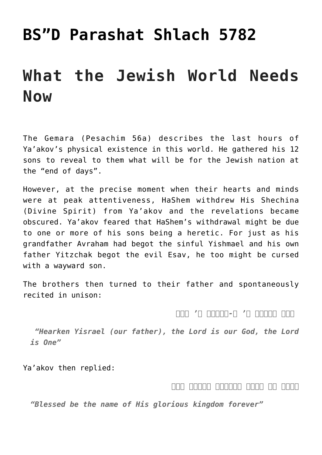# **[BS"D Parashat Shlach 5782](https://nachmankahana.com/bsd-parashat-shlach-5782/)**

# **What the Jewish World Needs Now**

The Gemara (Pesachim 56a) describes the last hours of Ya'akov's physical existence in this world. He gathered his 12 sons to reveal to them what will be for the Jewish nation at the "end of days".

However, at the precise moment when their hearts and minds were at peak attentiveness, HaShem withdrew His Shechina (Divine Spirit) from Ya'akov and the revelations became obscured. Ya'akov feared that HaShem's withdrawal might be due to one or more of his sons being a heretic. For just as his grandfather Avraham had begot the sinful Yishmael and his own father Yitzchak begot the evil Esav, he too might be cursed with a wayward son.

The brothers then turned to their father and spontaneously recited in unison:

 *שמע ישראל ה' א-לקינו ה' אחד*

 *"Hearken Yisrael (our father), the Lord is our God, the Lord is One"*

Ya'akov then replied:

*ברוך שם כבוד מלכותו לעולם ועד*

*"Blessed be the name of His glorious kingdom forever"*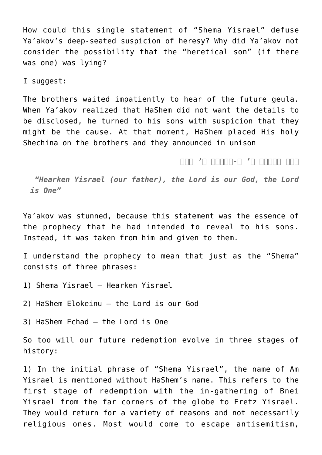How could this single statement of "Shema Yisrael" defuse Ya'akov's deep-seated suspicion of heresy? Why did Ya'akov not consider the possibility that the "heretical son" (if there was one) was lying?

I suggest:

The brothers waited impatiently to hear of the future geula. When Ya'akov realized that HaShem did not want the details to be disclosed, he turned to his sons with suspicion that they might be the cause. At that moment, HaShem placed His holy Shechina on the brothers and they announced in unison

*שמע ישראל ה' א-לקינו ה' אחד*

 *"Hearken Yisrael (our father), the Lord is our God, the Lord is One"*

Ya'akov was stunned, because this statement was the essence of the prophecy that he had intended to reveal to his sons. Instead, it was taken from him and given to them.

I understand the prophecy to mean that just as the "Shema" consists of three phrases:

- 1) Shema Yisrael Hearken Yisrael
- 2) HaShem Elokeinu the Lord is our God
- 3) HaShem Echad the Lord is One

So too will our future redemption evolve in three stages of history:

1) In the initial phrase of "Shema Yisrael", the name of Am Yisrael is mentioned without HaShem's name. This refers to the first stage of redemption with the in-gathering of Bnei Yisrael from the far corners of the globe to Eretz Yisrael. They would return for a variety of reasons and not necessarily religious ones. Most would come to escape antisemitism,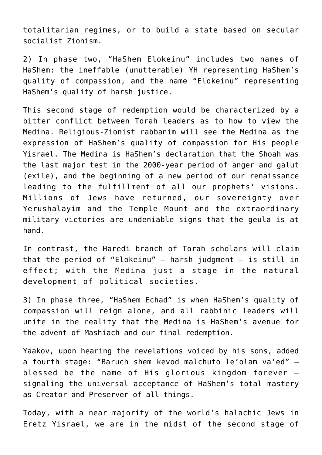totalitarian regimes, or to build a state based on secular socialist Zionism.

2) In phase two, "HaShem Elokeinu" includes two names of HaShem: the ineffable (unutterable) YH representing HaShem's quality of compassion, and the name "Elokeinu" representing HaShem's quality of harsh justice.

This second stage of redemption would be characterized by a bitter conflict between Torah leaders as to how to view the Medina. Religious-Zionist rabbanim will see the Medina as the expression of HaShem's quality of compassion for His people Yisrael. The Medina is HaShem's declaration that the Shoah was the last major test in the 2000-year period of anger and galut (exile), and the beginning of a new period of our renaissance leading to the fulfillment of all our prophets' visions. Millions of Jews have returned, our sovereignty over Yerushalayim and the Temple Mount and the extraordinary military victories are undeniable signs that the geula is at hand.

In contrast, the Haredi branch of Torah scholars will claim that the period of "Elokeinu"  $-$  harsh judgment  $-$  is still in effect; with the Medina just a stage in the natural development of political societies.

3) In phase three, "HaShem Echad" is when HaShem's quality of compassion will reign alone, and all rabbinic leaders will unite in the reality that the Medina is HaShem's avenue for the advent of Mashiach and our final redemption.

Yaakov, upon hearing the revelations voiced by his sons, added a fourth stage: "Baruch shem kevod malchuto le'olam va'ed" – blessed be the name of His glorious kingdom forever – signaling the universal acceptance of HaShem's total mastery as Creator and Preserver of all things.

Today, with a near majority of the world's halachic Jews in Eretz Yisrael, we are in the midst of the second stage of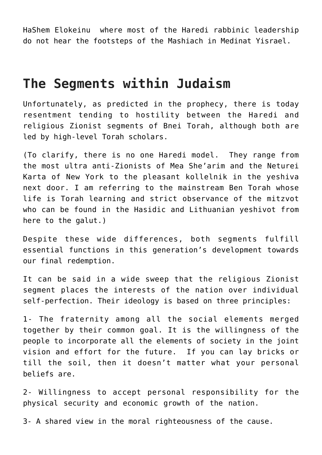HaShem Elokeinu where most of the Haredi rabbinic leadership do not hear the footsteps of the Mashiach in Medinat Yisrael.

### **The Segments within Judaism**

Unfortunately, as predicted in the prophecy, there is today resentment tending to hostility between the Haredi and religious Zionist segments of Bnei Torah, although both are led by high-level Torah scholars.

(To clarify, there is no one Haredi model. They range from the most ultra anti-Zionists of Mea She'arim and the Neturei Karta of New York to the pleasant kollelnik in the yeshiva next door. I am referring to the mainstream Ben Torah whose life is Torah learning and strict observance of the mitzvot who can be found in the Hasidic and Lithuanian yeshivot from here to the galut.)

Despite these wide differences, both segments fulfill essential functions in this generation's development towards our final redemption.

It can be said in a wide sweep that the religious Zionist segment places the interests of the nation over individual self-perfection. Their ideology is based on three principles:

1- The fraternity among all the social elements merged together by their common goal. It is the willingness of the people to incorporate all the elements of society in the joint vision and effort for the future. If you can lay bricks or till the soil, then it doesn't matter what your personal beliefs are.

2- Willingness to accept personal responsibility for the physical security and economic growth of the nation.

3- A shared view in the moral righteousness of the cause.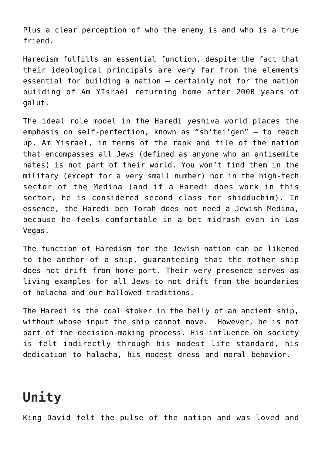Plus a clear perception of who the enemy is and who is a true friend.

Haredism fulfills an essential function, despite the fact that their ideological principals are very far from the elements essential for building a nation – certainly not for the nation building of Am YIsrael returning home after 2000 years of galut.

The ideal role model in the Haredi yeshiva world places the emphasis on self-perfection, known as "sh'tei'gen" – to reach up. Am Yisrael, in terms of the rank and file of the nation that encompasses all Jews (defined as anyone who an antisemite hates) is not part of their world. You won't find them in the military (except for a very small number) nor in the high-tech sector of the Medina (and if a Haredi does work in this sector, he is considered second class for shidduchim). In essence, the Haredi ben Torah does not need a Jewish Medina, because he feels comfortable in a bet midrash even in Las Vegas.

The function of Haredism for the Jewish nation can be likened to the anchor of a ship, guaranteeing that the mother ship does not drift from home port. Their very presence serves as living examples for all Jews to not drift from the boundaries of halacha and our hallowed traditions.

The Haredi is the coal stoker in the belly of an ancient ship, without whose input the ship cannot move. However, he is not part of the decision-making process. His influence on society is felt indirectly through his modest life standard, his dedication to halacha, his modest dress and moral behavior.

## **Unity**

King David felt the pulse of the nation and was loved and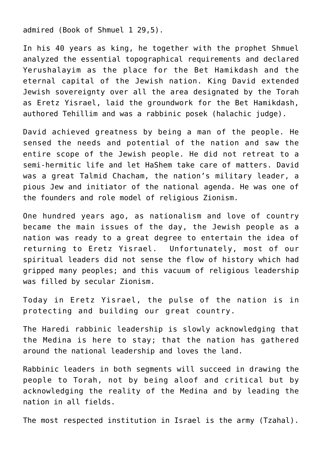admired (Book of Shmuel 1 29,5).

In his 40 years as king, he together with the prophet Shmuel analyzed the essential topographical requirements and declared Yerushalayim as the place for the Bet Hamikdash and the eternal capital of the Jewish nation. King David extended Jewish sovereignty over all the area designated by the Torah as Eretz Yisrael, laid the groundwork for the Bet Hamikdash, authored Tehillim and was a rabbinic posek (halachic judge).

David achieved greatness by being a man of the people. He sensed the needs and potential of the nation and saw the entire scope of the Jewish people. He did not retreat to a semi-hermitic life and let HaShem take care of matters. David was a great Talmid Chacham, the nation's military leader, a pious Jew and initiator of the national agenda. He was one of the founders and role model of religious Zionism.

One hundred years ago, as nationalism and love of country became the main issues of the day, the Jewish people as a nation was ready to a great degree to entertain the idea of returning to Eretz Yisrael. Unfortunately, most of our spiritual leaders did not sense the flow of history which had gripped many peoples; and this vacuum of religious leadership was filled by secular Zionism.

Today in Eretz Yisrael, the pulse of the nation is in protecting and building our great country.

The Haredi rabbinic leadership is slowly acknowledging that the Medina is here to stay; that the nation has gathered around the national leadership and loves the land.

Rabbinic leaders in both segments will succeed in drawing the people to Torah, not by being aloof and critical but by acknowledging the reality of the Medina and by leading the nation in all fields.

The most respected institution in Israel is the army (Tzahal).